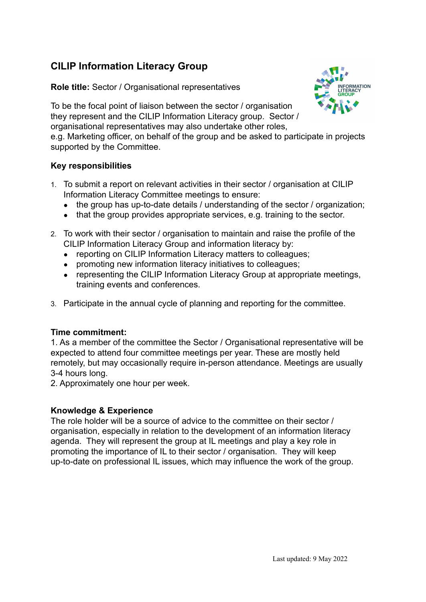# **CILIP Information Literacy Group**

**Role title:** Sector / Organisational representatives



To be the focal point of liaison between the sector / organisation they represent and the CILIP Information Literacy group. Sector / organisational representatives may also undertake other roles,

e.g. Marketing officer, on behalf of the group and be asked to participate in projects supported by the Committee.

### **Key responsibilities**

- 1. To submit a report on relevant activities in their sector / organisation at CILIP Information Literacy Committee meetings to ensure:
	- the group has up-to-date details / understanding of the sector / organization;
	- that the group provides appropriate services, e.g. training to the sector.
- 2. To work with their sector / organisation to maintain and raise the profile of the CILIP Information Literacy Group and information literacy by:
	- reporting on CILIP Information Literacy matters to colleagues;
	- promoting new information literacy initiatives to colleagues;
	- representing the CILIP Information Literacy Group at appropriate meetings, training events and conferences.
- 3. Participate in the annual cycle of planning and reporting for the committee.

### **Time commitment:**

1. As a member of the committee the Sector / Organisational representative will be expected to attend four committee meetings per year. These are mostly held remotely, but may occasionally require in-person attendance. Meetings are usually 3-4 hours long.

2. Approximately one hour per week.

### **Knowledge & Experience**

The role holder will be a source of advice to the committee on their sector / organisation, especially in relation to the development of an information literacy agenda. They will represent the group at IL meetings and play a key role in promoting the importance of IL to their sector / organisation. They will keep up-to-date on professional IL issues, which may influence the work of the group.